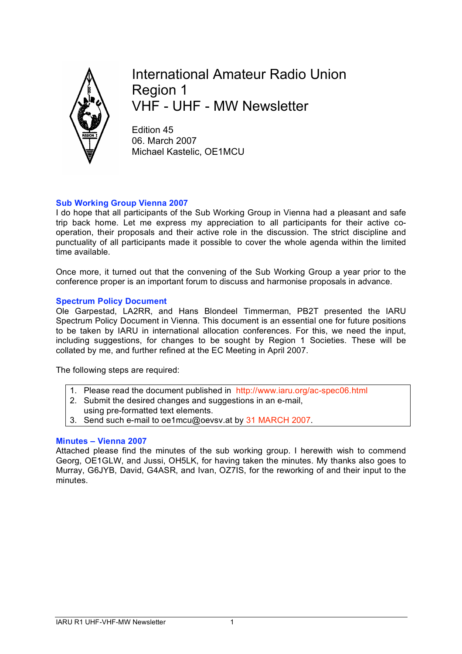

International Amateur Radio Union Region 1 VHF - UHF - MW Newsletter

Edition 45 06. March 2007 Michael Kastelic, OE1MCU

# **Sub Working Group Vienna 2007**

I do hope that all participants of the Sub Working Group in Vienna had a pleasant and safe trip back home. Let me express my appreciation to all participants for their active cooperation, their proposals and their active role in the discussion. The strict discipline and punctuality of all participants made it possible to cover the whole agenda within the limited time available.

Once more, it turned out that the convening of the Sub Working Group a year prior to the conference proper is an important forum to discuss and harmonise proposals in advance.

## **Spectrum Policy Document**

Ole Garpestad, LA2RR, and Hans Blondeel Timmerman, PB2T presented the IARU Spectrum Policy Document in Vienna. This document is an essential one for future positions to be taken by IARU in international allocation conferences. For this, we need the input, including suggestions, for changes to be sought by Region 1 Societies. These will be collated by me, and further refined at the EC Meeting in April 2007.

The following steps are required:

- 1. Please read the document published in http://www.iaru.org/ac-spec06.html
- 2. Submit the desired changes and suggestions in an e-mail,
- using pre-formatted text elements.
- 3. Send such e-mail to oe1mcu@oevsv.at by 31 MARCH 2007.

## **Minutes – Vienna 2007**

Attached please find the minutes of the sub working group. I herewith wish to commend Georg, OE1GLW, and Jussi, OH5LK, for having taken the minutes. My thanks also goes to Murray, G6JYB, David, G4ASR, and Ivan, OZ7IS, for the reworking of and their input to the minutes.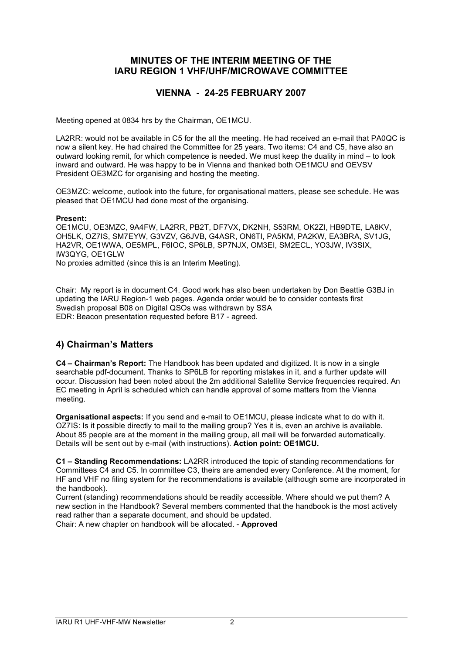# **MINUTES OF THE INTERIM MEETING OF THE IARU REGION 1 VHF/UHF/MICROWAVE COMMITTEE**

# **VIENNA - 24-25 FEBRUARY 2007**

Meeting opened at 0834 hrs by the Chairman, OE1MCU.

LA2RR: would not be available in C5 for the all the meeting. He had received an e-mail that PA0QC is now a silent key. He had chaired the Committee for 25 years. Two items: C4 and C5, have also an outward looking remit, for which competence is needed. We must keep the duality in mind – to look inward and outward. He was happy to be in Vienna and thanked both OE1MCU and OEVSV President OE3MZC for organising and hosting the meeting.

OE3MZC: welcome, outlook into the future, for organisational matters, please see schedule. He was pleased that OE1MCU had done most of the organising.

#### **Present:**

OE1MCU, OE3MZC, 9A4FW, LA2RR, PB2T, DF7VX, DK2NH, S53RM, OK2ZI, HB9DTE, LA8KV, OH5LK, OZ7IS, SM7EYW, G3VZV, G6JVB, G4ASR, ON6TI, PA5KM, PA2KW, EA3BRA, SV1JG, HA2VR, OE1WWA, OE5MPL, F6IOC, SP6LB, SP7NJX, OM3EI, SM2ECL, YO3JW, IV3SIX, IW3QYG, OE1GLW

No proxies admitted (since this is an Interim Meeting).

Chair: My report is in document C4. Good work has also been undertaken by Don Beattie G3BJ in updating the IARU Region-1 web pages. Agenda order would be to consider contests first Swedish proposal B08 on Digital QSOs was withdrawn by SSA EDR: Beacon presentation requested before B17 - agreed.

# **4) Chairman's Matters**

**C4 – Chairman's Report:** The Handbook has been updated and digitized. It is now in a single searchable pdf-document. Thanks to SP6LB for reporting mistakes in it, and a further update will occur. Discussion had been noted about the 2m additional Satellite Service frequencies required. An EC meeting in April is scheduled which can handle approval of some matters from the Vienna meeting.

**Organisational aspects:** If you send and e-mail to OE1MCU, please indicate what to do with it. OZ7IS: Is it possible directly to mail to the mailing group? Yes it is, even an archive is available. About 85 people are at the moment in the mailing group, all mail will be forwarded automatically. Details will be sent out by e-mail (with instructions). **Action point: OE1MCU.**

**C1 – Standing Recommendations:** LA2RR introduced the topic of standing recommendations for Committees C4 and C5. In committee C3, theirs are amended every Conference. At the moment, for HF and VHF no filing system for the recommendations is available (although some are incorporated in the handbook).

Current (standing) recommendations should be readily accessible. Where should we put them? A new section in the Handbook? Several members commented that the handbook is the most actively read rather than a separate document, and should be updated. Chair: A new chapter on handbook will be allocated. - **Approved**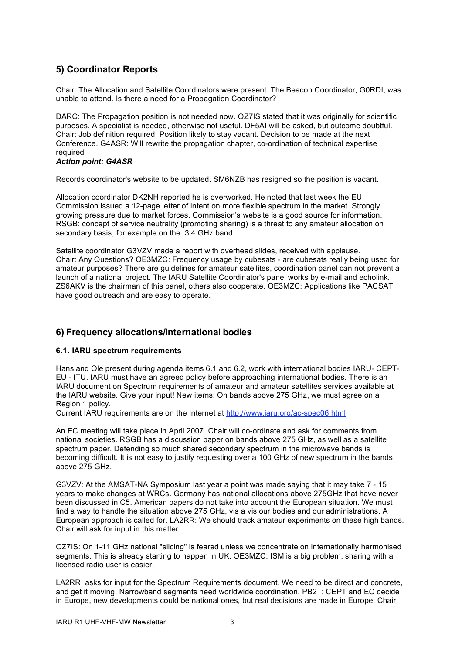# **5) Coordinator Reports**

Chair: The Allocation and Satellite Coordinators were present. The Beacon Coordinator, G0RDI, was unable to attend. Is there a need for a Propagation Coordinator?

DARC: The Propagation position is not needed now. OZ7IS stated that it was originally for scientific purposes. A specialist is needed, otherwise not useful. DF5AI will be asked, but outcome doubtful. Chair: Job definition required. Position likely to stay vacant. Decision to be made at the next Conference. G4ASR: Will rewrite the propagation chapter, co-ordination of technical expertise required

### *Action point: G4ASR*

Records coordinator's website to be updated. SM6NZB has resigned so the position is vacant.

Allocation coordinator DK2NH reported he is overworked. He noted that last week the EU Commission issued a 12-page letter of intent on more flexible spectrum in the market. Strongly growing pressure due to market forces. Commission's website is a good source for information. RSGB: concept of service neutrality (promoting sharing) is a threat to any amateur allocation on secondary basis, for example on the 3.4 GHz band.

Satellite coordinator G3VZV made a report with overhead slides, received with applause. Chair: Any Questions? OE3MZC: Frequency usage by cubesats - are cubesats really being used for amateur purposes? There are guidelines for amateur satellites, coordination panel can not prevent a launch of a national project. The IARU Satellite Coordinator's panel works by e-mail and echolink. ZS6AKV is the chairman of this panel, others also cooperate. OE3MZC: Applications like PACSAT have good outreach and are easy to operate.

# **6) Frequency allocations/international bodies**

## **6.1. IARU spectrum requirements**

Hans and Ole present during agenda items 6.1 and 6.2, work with international bodies IARU- CEPT-EU - ITU. IARU must have an agreed policy before approaching international bodies. There is an IARU document on Spectrum requirements of amateur and amateur satellites services available at the IARU website. Give your input! New items: On bands above 275 GHz, we must agree on a Region 1 policy.

Current IARU requirements are on the Internet at http://www.iaru.org/ac-spec06.html

An EC meeting will take place in April 2007. Chair will co-ordinate and ask for comments from national societies. RSGB has a discussion paper on bands above 275 GHz, as well as a satellite spectrum paper. Defending so much shared secondary spectrum in the microwave bands is becoming difficult. It is not easy to justify requesting over a 100 GHz of new spectrum in the bands above 275 GHz.

G3VZV: At the AMSAT-NA Symposium last year a point was made saying that it may take 7 - 15 years to make changes at WRCs. Germany has national allocations above 275GHz that have never been discussed in C5. American papers do not take into account the European situation. We must find a way to handle the situation above 275 GHz, vis a vis our bodies and our administrations. A European approach is called for. LA2RR: We should track amateur experiments on these high bands. Chair will ask for input in this matter.

OZ7IS: On 1-11 GHz national "slicing" is feared unless we concentrate on internationally harmonised segments. This is already starting to happen in UK. OE3MZC: ISM is a big problem, sharing with a licensed radio user is easier.

LA2RR: asks for input for the Spectrum Requirements document. We need to be direct and concrete, and get it moving. Narrowband segments need worldwide coordination. PB2T: CEPT and EC decide in Europe, new developments could be national ones, but real decisions are made in Europe: Chair: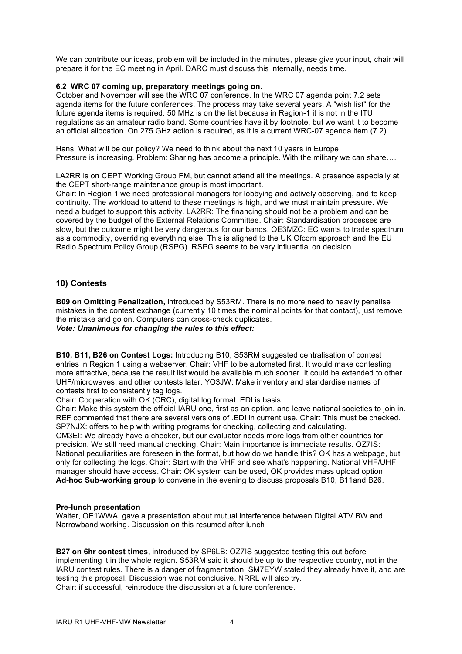We can contribute our ideas, problem will be included in the minutes, please give your input, chair will prepare it for the EC meeting in April. DARC must discuss this internally, needs time.

### **6.2 WRC 07 coming up, preparatory meetings going on.**

October and November will see the WRC 07 conference. In the WRC 07 agenda point 7.2 sets agenda items for the future conferences. The process may take several years. A "wish list" for the future agenda items is required. 50 MHz is on the list because in Region-1 it is not in the ITU regulations as an amateur radio band. Some countries have it by footnote, but we want it to become an official allocation. On 275 GHz action is required, as it is a current WRC-07 agenda item (7.2).

Hans: What will be our policy? We need to think about the next 10 years in Europe. Pressure is increasing. Problem: Sharing has become a principle. With the military we can share….

LA2RR is on CEPT Working Group FM, but cannot attend all the meetings. A presence especially at the CEPT short-range maintenance group is most important.

Chair: In Region 1 we need professional managers for lobbying and actively observing, and to keep continuity. The workload to attend to these meetings is high, and we must maintain pressure. We need a budget to support this activity. LA2RR: The financing should not be a problem and can be covered by the budget of the External Relations Committee. Chair: Standardisation processes are slow, but the outcome might be very dangerous for our bands. OE3MZC: EC wants to trade spectrum as a commodity, overriding everything else. This is aligned to the UK Ofcom approach and the EU Radio Spectrum Policy Group (RSPG). RSPG seems to be very influential on decision.

## **10) Contests**

**B09 on Omitting Penalization,** introduced by S53RM. There is no more need to heavily penalise mistakes in the contest exchange (currently 10 times the nominal points for that contact), just remove the mistake and go on. Computers can cross-check duplicates. *Vote: Unanimous for changing the rules to this effect:*

**B10, B11, B26 on Contest Logs:** Introducing B10, S53RM suggested centralisation of contest entries in Region 1 using a webserver. Chair: VHF to be automated first. It would make contesting more attractive, because the result list would be available much sooner. It could be extended to other UHF/microwaves, and other contests later. YO3JW: Make inventory and standardise names of contests first to consistently tag logs.

Chair: Cooperation with OK (CRC), digital log format .EDI is basis.

Chair: Make this system the official IARU one, first as an option, and leave national societies to join in. REF commented that there are several versions of .EDI in current use. Chair: This must be checked. SP7NJX: offers to help with writing programs for checking, collecting and calculating. OM3EI: We already have a checker, but our evaluator needs more logs from other countries for precision. We still need manual checking. Chair: Main importance is immediate results. OZ7IS: National peculiarities are foreseen in the format, but how do we handle this? OK has a webpage, but only for collecting the logs. Chair: Start with the VHF and see what's happening. National VHF/UHF manager should have access. Chair: OK system can be used, OK provides mass upload option. **Ad-hoc Sub-working group** to convene in the evening to discuss proposals B10, B11and B26.

### **Pre-lunch presentation**

Walter, OE1WWA, gave a presentation about mutual interference between Digital ATV BW and Narrowband working. Discussion on this resumed after lunch

**B27 on 6hr contest times,** introduced by SP6LB: OZ7IS suggested testing this out before implementing it in the whole region. S53RM said it should be up to the respective country, not in the IARU contest rules. There is a danger of fragmentation. SM7EYW stated they already have it, and are testing this proposal. Discussion was not conclusive. NRRL will also try. Chair: if successful, reintroduce the discussion at a future conference.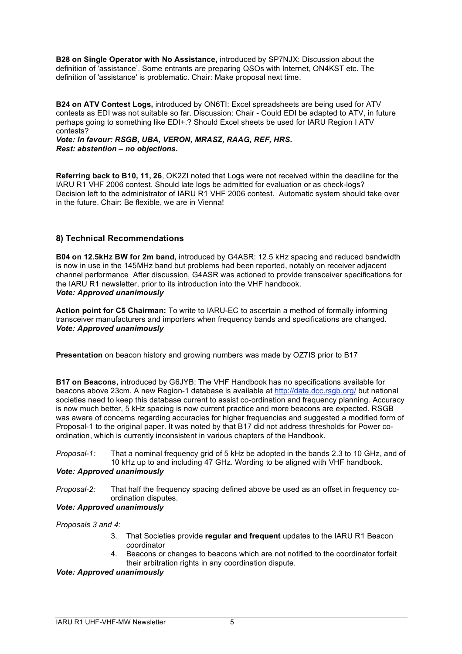**B28 on Single Operator with No Assistance,** introduced by SP7NJX: Discussion about the definition of 'assistance'. Some entrants are preparing QSOs with Internet, ON4KST etc. The definition of 'assistance' is problematic. Chair: Make proposal next time.

**B24 on ATV Contest Logs,** introduced by ON6TI: Excel spreadsheets are being used for ATV contests as EDI was not suitable so far. Discussion: Chair - Could EDI be adapted to ATV, in future perhaps going to something like EDI+.? Should Excel sheets be used for IARU Region I ATV contests?

*Vote: In favour: RSGB, UBA, VERON, MRASZ, RAAG, REF, HRS. Rest: abstention – no objections.*

**Referring back to B10, 11, 26**, OK2ZI noted that Logs were not received within the deadline for the IARU R1 VHF 2006 contest. Should late logs be admitted for evaluation or as check-logs? Decision left to the administrator of IARU R1 VHF 2006 contest. Automatic system should take over in the future. Chair: Be flexible, we are in Vienna!

## **8) Technical Recommendations**

**B04 on 12.5kHz BW for 2m band,** introduced by G4ASR: 12.5 kHz spacing and reduced bandwidth is now in use in the 145MHz band but problems had been reported, notably on receiver adjacent channel performance After discussion, G4ASR was actioned to provide transceiver specifications for the IARU R1 newsletter, prior to its introduction into the VHF handbook. *Vote: Approved unanimously*

**Action point for C5 Chairman:** To write to IARU-EC to ascertain a method of formally informing transceiver manufacturers and importers when frequency bands and specifications are changed. *Vote: Approved unanimously*

**Presentation** on beacon history and growing numbers was made by OZ7IS prior to B17

**B17 on Beacons,** introduced by G6JYB: The VHF Handbook has no specifications available for beacons above 23cm. A new Region-1 database is available at http://data.dcc.rsgb.org/ but national societies need to keep this database current to assist co-ordination and frequency planning. Accuracy is now much better, 5 kHz spacing is now current practice and more beacons are expected. RSGB was aware of concerns regarding accuracies for higher frequencies and suggested a modified form of Proposal-1 to the original paper. It was noted by that B17 did not address thresholds for Power coordination, which is currently inconsistent in various chapters of the Handbook.

*Proposal-1:* That a nominal frequency grid of 5 kHz be adopted in the bands 2.3 to 10 GHz, and of 10 kHz up to and including 47 GHz. Wording to be aligned with VHF handbook.

## *Vote: Approved unanimously*

*Proposal-2:* That half the frequency spacing defined above be used as an offset in frequency coordination disputes.

## *Vote: Approved unanimously*

*Proposals 3 and 4:*

- 3. That Societies provide **regular and frequent** updates to the IARU R1 Beacon coordinator
- 4. Beacons or changes to beacons which are not notified to the coordinator forfeit their arbitration rights in any coordination dispute.

### *Vote: Approved unanimously*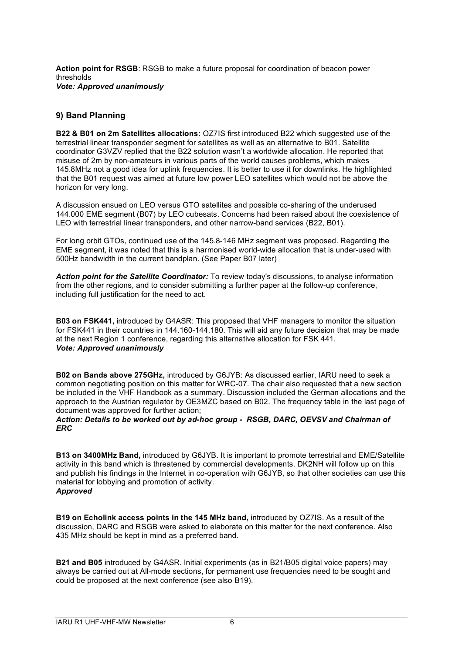**Action point for RSGB**: RSGB to make a future proposal for coordination of beacon power thresholds *Vote: Approved unanimously*

## **9) Band Planning**

**B22 & B01 on 2m Satellites allocations:** OZ7IS first introduced B22 which suggested use of the terrestrial linear transponder segment for satellites as well as an alternative to B01. Satellite coordinator G3VZV replied that the B22 solution wasn't a worldwide allocation. He reported that misuse of 2m by non-amateurs in various parts of the world causes problems, which makes 145.8MHz not a good idea for uplink frequencies. It is better to use it for downlinks. He highlighted that the B01 request was aimed at future low power LEO satellites which would not be above the horizon for very long.

A discussion ensued on LEO versus GTO satellites and possible co-sharing of the underused 144.000 EME segment (B07) by LEO cubesats. Concerns had been raised about the coexistence of LEO with terrestrial linear transponders, and other narrow-band services (B22, B01).

For long orbit GTOs, continued use of the 145.8-146 MHz segment was proposed. Regarding the EME segment, it was noted that this is a harmonised world-wide allocation that is under-used with 500Hz bandwidth in the current bandplan. (See Paper B07 later)

*Action point for the Satellite Coordinator:* To review today's discussions, to analyse information from the other regions, and to consider submitting a further paper at the follow-up conference, including full justification for the need to act.

**B03 on FSK441,** introduced by G4ASR: This proposed that VHF managers to monitor the situation for FSK441 in their countries in 144.160-144.180. This will aid any future decision that may be made at the next Region 1 conference, regarding this alternative allocation for FSK 441. *Vote: Approved unanimously*

**B02 on Bands above 275GHz,** introduced by G6JYB: As discussed earlier, IARU need to seek a common negotiating position on this matter for WRC-07. The chair also requested that a new section be included in the VHF Handbook as a summary. Discussion included the German allocations and the approach to the Austrian regulator by OE3MZC based on B02. The frequency table in the last page of document was approved for further action;

#### *Action: Details to be worked out by ad-hoc group - RSGB, DARC, OEVSV and Chairman of ERC*

**B13 on 3400MHz Band,** introduced by G6JYB. It is important to promote terrestrial and EME/Satellite activity in this band which is threatened by commercial developments. DK2NH will follow up on this and publish his findings in the Internet in co-operation with G6JYB, so that other societies can use this material for lobbying and promotion of activity. *Approved*

**B19 on Echolink access points in the 145 MHz band,** introduced by OZ7IS. As a result of the discussion, DARC and RSGB were asked to elaborate on this matter for the next conference. Also 435 MHz should be kept in mind as a preferred band.

**B21 and B05** introduced by G4ASR. Initial experiments (as in B21/B05 digital voice papers) may always be carried out at All-mode sections, for permanent use frequencies need to be sought and could be proposed at the next conference (see also B19).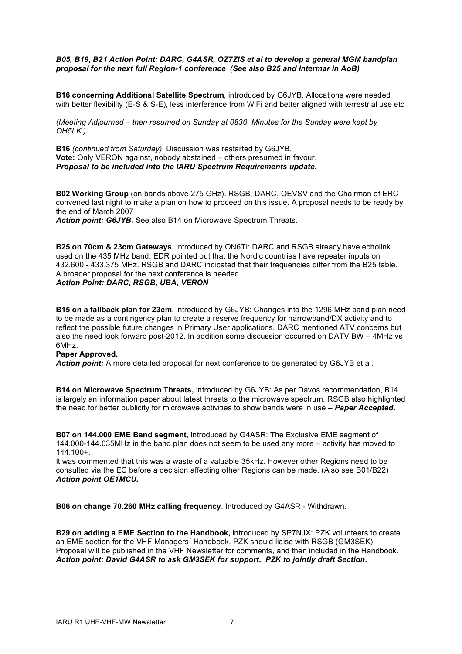#### *B05, B19, B21 Action Point: DARC, G4ASR, OZ7ZIS et al to develop a general MGM bandplan proposal for the next full Region-1 conference (See also B25 and Intermar in AoB)*

**B16 concerning Additional Satellite Spectrum**, introduced by G6JYB. Allocations were needed with better flexibility (E-S & S-E), less interference from WiFi and better aligned with terrestrial use etc

*(Meeting Adjourned – then resumed on Sunday at 0830. Minutes for the Sunday were kept by OH5LK.)*

**B16** *(continued from Saturday).* Discussion was restarted by G6JYB. **Vote:** Only VERON against, nobody abstained – others presumed in favour. *Proposal to be included into the IARU Spectrum Requirements update.*

**B02 Working Group** (on bands above 275 GHz). RSGB, DARC, OEVSV and the Chairman of ERC convened last night to make a plan on how to proceed on this issue. A proposal needs to be ready by the end of March 2007

*Action point: G6JYB.* See also B14 on Microwave Spectrum Threats.

**B25 on 70cm & 23cm Gateways,** introduced by ON6TI: DARC and RSGB already have echolink used on the 435 MHz band. EDR pointed out that the Nordic countries have repeater inputs on 432.600 - 433.375 MHz. RSGB and DARC indicated that their frequencies differ from the B25 table. A broader proposal for the next conference is needed *Action Point: DARC, RSGB, UBA, VERON*

**B15 on a fallback plan for 23cm**, introduced by G6JYB: Changes into the 1296 MHz band plan need to be made as a contingency plan to create a reserve frequency for narrowband/DX activity and to reflect the possible future changes in Primary User applications. DARC mentioned ATV concerns but also the need look forward post-2012. In addition some discussion occurred on DATV BW – 4MHz vs 6MHz.

#### **Paper Approved.**

*Action point:* A more detailed proposal for next conference to be generated by G6JYB et al.

**B14 on Microwave Spectrum Threats,** introduced by G6JYB: As per Davos recommendation, B14 is largely an information paper about latest threats to the microwave spectrum. RSGB also highlighted the need for better publicity for microwave activities to show bands were in use **–** *Paper Accepted.*

**B07 on 144.000 EME Band segment**, introduced by G4ASR: The Exclusive EME segment of 144.000-144.035MHz in the band plan does not seem to be used any more – activity has moved to 144.100+.

It was commented that this was a waste of a valuable 35kHz. However other Regions need to be consulted via the EC before a decision affecting other Regions can be made. (Also see B01/B22) *Action point OE1MCU.*

**B06 on change 70.260 MHz calling frequency**. Introduced by G4ASR - Withdrawn.

**B29 on adding a EME Section to the Handbook,** introduced by SP7NJX: PZK volunteers to create an EME section for the VHF Managers´ Handbook. PZK should liaise with RSGB (GM3SEK). Proposal will be published in the VHF Newsletter for comments, and then included in the Handbook. *Action point: David G4ASR to ask GM3SEK for support. PZK to jointly draft Section.*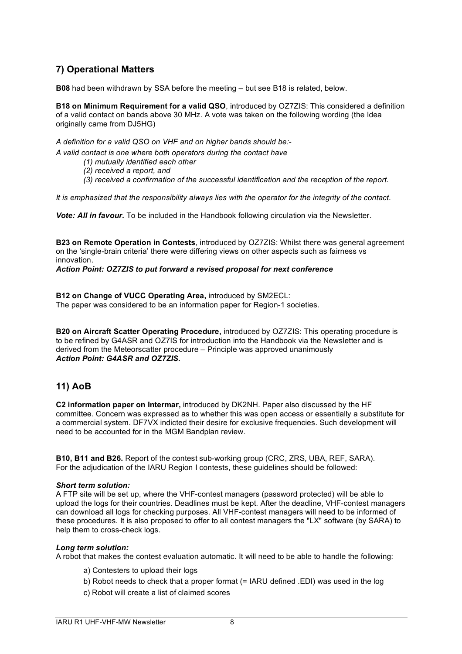# **7) Operational Matters**

**B08** had been withdrawn by SSA before the meeting – but see B18 is related, below.

**B18 on Minimum Requirement for a valid QSO**, introduced by OZ7ZIS: This considered a definition of a valid contact on bands above 30 MHz. A vote was taken on the following wording (the Idea originally came from DJ5HG)

*A definition for a valid QSO on VHF and on higher bands should be:-*

*A valid contact is one where both operators during the contact have*

- *(1) mutually identified each other*
- *(2) received a report, and*
- *(3) received a confirmation of the successful identification and the reception of the report.*

*It is emphasized that the responsibility always lies with the operator for the integrity of the contact.*

*Vote: All in favour.* To be included in the Handbook following circulation via the Newsletter.

**B23 on Remote Operation in Contests**, introduced by OZ7ZIS: Whilst there was general agreement on the 'single-brain criteria' there were differing views on other aspects such as fairness vs innovation.

### *Action Point: OZ7ZIS to put forward a revised proposal for next conference*

**B12 on Change of VUCC Operating Area,** introduced by SM2ECL: The paper was considered to be an information paper for Region-1 societies.

**B20 on Aircraft Scatter Operating Procedure,** introduced by OZ7ZIS: This operating procedure is to be refined by G4ASR and OZ7IS for introduction into the Handbook via the Newsletter and is derived from the Meteorscatter procedure – Principle was approved unanimously *Action Point: G4ASR and OZ7ZIS.*

# **11) AoB**

**C2 information paper on Intermar,** introduced by DK2NH. Paper also discussed by the HF committee. Concern was expressed as to whether this was open access or essentially a substitute for a commercial system. DF7VX indicted their desire for exclusive frequencies. Such development will need to be accounted for in the MGM Bandplan review.

**B10, B11 and B26.** Report of the contest sub-working group (CRC, ZRS, UBA, REF, SARA). For the adjudication of the IARU Region I contests, these guidelines should be followed:

### *Short term solution:*

A FTP site will be set up, where the VHF-contest managers (password protected) will be able to upload the logs for their countries. Deadlines must be kept. After the deadline, VHF-contest managers can download all logs for checking purposes. All VHF-contest managers will need to be informed of these procedures. It is also proposed to offer to all contest managers the "LX" software (by SARA) to help them to cross-check logs.

### *Long term solution:*

A robot that makes the contest evaluation automatic. It will need to be able to handle the following:

- a) Contesters to upload their logs
- b) Robot needs to check that a proper format (= IARU defined .EDI) was used in the log
- c) Robot will create a list of claimed scores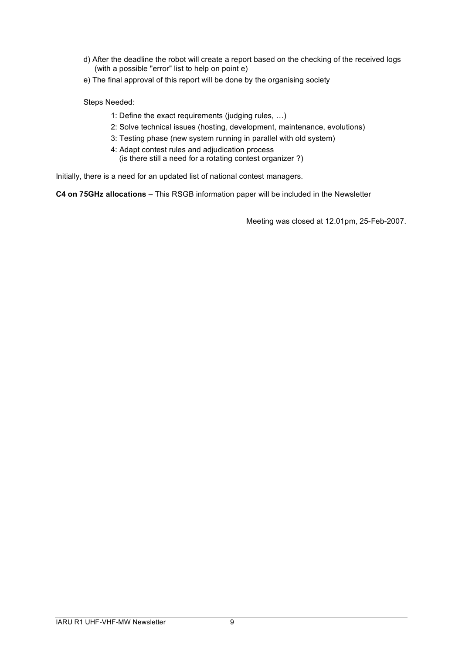- d) After the deadline the robot will create a report based on the checking of the received logs (with a possible "error" list to help on point e)
- e) The final approval of this report will be done by the organising society

Steps Needed:

- 1: Define the exact requirements (judging rules, …)
- 2: Solve technical issues (hosting, development, maintenance, evolutions)
- 3: Testing phase (new system running in parallel with old system)
- 4: Adapt contest rules and adjudication process (is there still a need for a rotating contest organizer ?)

Initially, there is a need for an updated list of national contest managers.

**C4 on 75GHz allocations** – This RSGB information paper will be included in the Newsletter

Meeting was closed at 12.01pm, 25-Feb-2007.